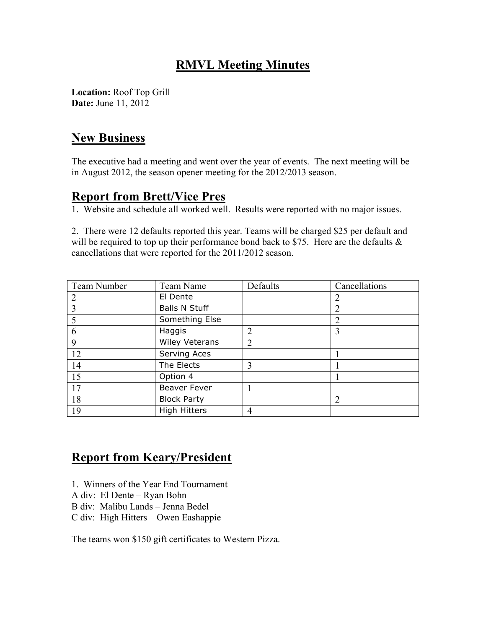# **RMVL Meeting Minutes**

**Location:** Roof Top Grill **Date:** June 11, 2012

### **New Business**

The executive had a meeting and went over the year of events. The next meeting will be in August 2012, the season opener meeting for the 2012/2013 season.

#### **Report from Brett/Vice Pres**

1. Website and schedule all worked well. Results were reported with no major issues.

2. There were 12 defaults reported this year. Teams will be charged \$25 per default and will be required to top up their performance bond back to \$75. Here are the defaults  $\&$ cancellations that were reported for the 2011/2012 season.

| Team Number | Team Name             | Defaults       | Cancellations |
|-------------|-----------------------|----------------|---------------|
|             | El Dente              |                |               |
|             | <b>Balls N Stuff</b>  |                |               |
|             | Something Else        |                |               |
| 6           | Haggis                | 2              | 3             |
| 9           | <b>Wiley Veterans</b> | $\overline{2}$ |               |
| 12          | Serving Aces          |                |               |
| 14          | The Elects            | 3              |               |
| 15          | Option 4              |                |               |
| 17          | <b>Beaver Fever</b>   |                |               |
| 18          | <b>Block Party</b>    |                |               |
| 19          | <b>High Hitters</b>   | 4              |               |

# **Report from Keary/President**

- 1. Winners of the Year End Tournament
- A div: El Dente Ryan Bohn
- B div: Malibu Lands Jenna Bedel
- C div: High Hitters Owen Eashappie

The teams won \$150 gift certificates to Western Pizza.